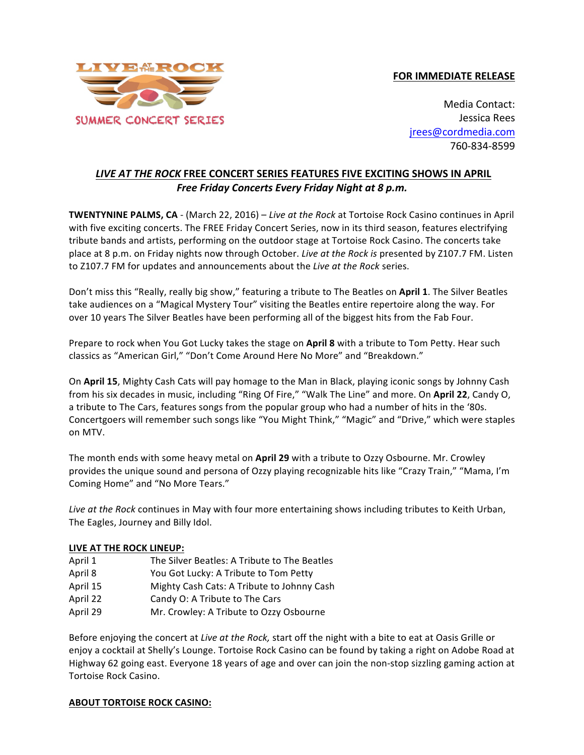## **FOR IMMEDIATE RELEASE**



Media Contact: Jessica Rees jrees@cordmedia.com 760-834-8599

## LIVE AT THE ROCK FREE CONCERT SERIES FEATURES FIVE EXCITING SHOWS IN APRIL Free Friday Concerts Every Friday Night at 8 p.m.

**TWENTYNINE PALMS, CA** - (March 22, 2016) – Live at the Rock at Tortoise Rock Casino continues in April with five exciting concerts. The FREE Friday Concert Series, now in its third season, features electrifying tribute bands and artists, performing on the outdoor stage at Tortoise Rock Casino. The concerts take place at 8 p.m. on Friday nights now through October. *Live at the Rock is* presented by Z107.7 FM. Listen to Z107.7 FM for updates and announcements about the *Live at the Rock* series.

Don't miss this "Really, really big show," featuring a tribute to The Beatles on April 1. The Silver Beatles take audiences on a "Magical Mystery Tour" visiting the Beatles entire repertoire along the way. For over 10 years The Silver Beatles have been performing all of the biggest hits from the Fab Four.

Prepare to rock when You Got Lucky takes the stage on April 8 with a tribute to Tom Petty. Hear such classics as "American Girl," "Don't Come Around Here No More" and "Breakdown."

On **April 15**, Mighty Cash Cats will pay homage to the Man in Black, playing iconic songs by Johnny Cash from his six decades in music, including "Ring Of Fire," "Walk The Line" and more. On April 22, Candy O, a tribute to The Cars, features songs from the popular group who had a number of hits in the '80s. Concertgoers will remember such songs like "You Might Think," "Magic" and "Drive," which were staples on MTV.

The month ends with some heavy metal on **April 29** with a tribute to Ozzy Osbourne. Mr. Crowley provides the unique sound and persona of Ozzy playing recognizable hits like "Crazy Train," "Mama, I'm Coming Home" and "No More Tears."

Live at the Rock continues in May with four more entertaining shows including tributes to Keith Urban, The Eagles, Journey and Billy Idol.

## **LIVE AT THE ROCK LINEUP:**

| April 1  | The Silver Beatles: A Tribute to The Beatles |
|----------|----------------------------------------------|
| April 8  | You Got Lucky: A Tribute to Tom Petty        |
| April 15 | Mighty Cash Cats: A Tribute to Johnny Cash   |
| April 22 | Candy O: A Tribute to The Cars               |
| April 29 | Mr. Crowley: A Tribute to Ozzy Osbourne      |

Before enjoying the concert at *Live at the Rock*, start off the night with a bite to eat at Oasis Grille or enjoy a cocktail at Shelly's Lounge. Tortoise Rock Casino can be found by taking a right on Adobe Road at Highway 62 going east. Everyone 18 years of age and over can join the non-stop sizzling gaming action at Tortoise Rock Casino.

## **ABOUT TORTOISE ROCK CASINO:**